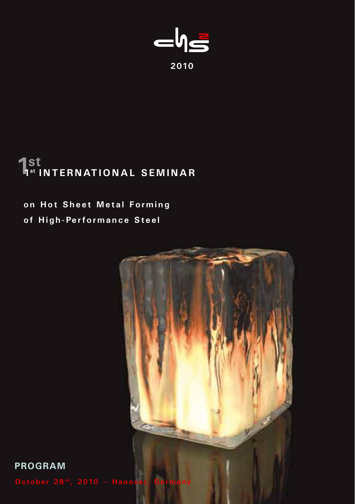

# **1st 1st INTERNATIONAL SEMINAR**

# **on Hot Sheet Metal Forming of High-Performance Steel**



**PROGRAM**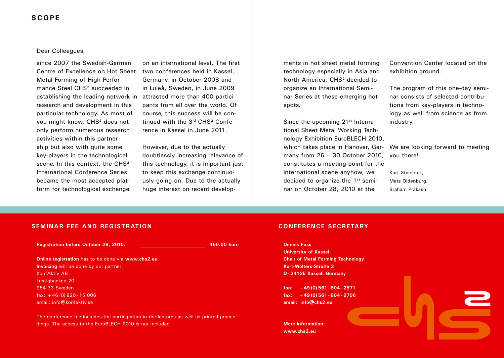### Dear Colleagues,

since 2007 the Swedish-German Centre of Excellence on Hot Sheet two conferences held in Kassel, Metal Forming of High-Performance Steel CHS² succeeded in establishing the leading network in research and development in this particular technology. As most of you might know, CHS² does not only perform numerous research activities within this partnership but also with quite some key-players in the technological scene. In this context, the CHS<sup>2</sup> International Conference Series became the most accepted platform for technological exchange

on an international level. The first Germany, in October 2008 and in Luleå, Sweden, in June 2009 attracted more than 400 participants from all over the world. Of course, this success will be continued with the 3rd CHS² Conference in Kassel in June 2011.

However, due to the actually doubtlessly increasing relevance of this technology, it is important just to keep this exchange continuously going on. Due to the actually huge interest on recent developments in hot sheet metal forming technology especially in Asia and North America, CHS² decided to organize an International Seminar Series at these emerging hot spots.

Since the upcoming 21<sup>st</sup> International Sheet Metal Working Technology Exhibition EuroBLECH 2010, which takes place in Hanover, Ger- We are looking forward to meeting many from 26 – 30 October 2010, you there! constitutes a meeting point for the international scene anyhow, we decided to organize the 1st seminar on October 28, 2010 at the

Convention Center located on the exhibition ground.

The program of this one-day seminar consists of selected contributions from key-players in technology as well from science as from industry.

Kurt Steinhoff, Mats Oldenburg, Braham Prakash

### **SEMINAR FEE AND REGISTRATION**

**Registration before October 28, 2010: 450.00 Euro**

**Online registration** has to be done via **www.chs2.eu Invoicing** will be done by our partner: KonfAktiv AB Lustigbacken 20 954 33 Sweden fax: +46 (0) 920 -15 006 email: info@konfaktiv.se

The conference fee includes the participation in the lectures as well as printed proceedings. The access to the EuroBLECH 2010 is not included.

### **CONFERENCE SECRETARY**

**Dennis Fuss University of Kassel Chair of Metal Forming Technology Kurt-Wolters-Straße 3 D - 34125 Kassel, Germany**

**fon: +49 (0) 561 - 804 - 2871 fax: +49 (0) 561 - 804 - 2706 email: info@chs2.eu**

**More information: www.chs2.eu**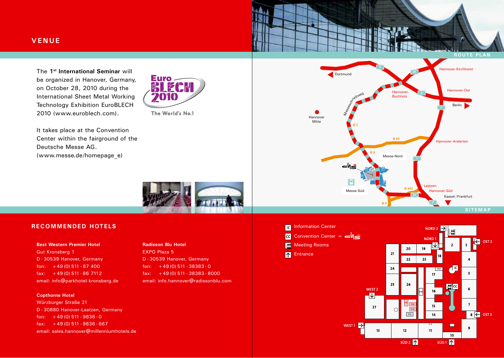The **1st International Seminar** will be organized in Hanover, Germany, on October 28, 2010 during the International Sheet Metal Working Technology Exhibition EuroBLECH 2010 (www.euroblech.com).



The World's No.1

It takes place at the Convention Center within the fairground of the Deutsche Messe AG. (www.messe.de/homepage\_e)



中 OST<sub>2</sub>

 $\overline{\mathbf{3}}$ 

 $\overline{4}$ 

 $\overline{\mathbf{5}}$ 

 $6\overline{6}$ 

 $\mathbf{7}$ 

 $\mathbf{g}$ 

 $\overline{\begin{array}{c} 8 \end{array}}$   $\overline{\begin{array}{c} 8 \end{array}}$   $\overline{\begin{array}{c} 0.0073 \end{array}}$ 

 $\overline{2}$ 

 $\mathbf{d}^{\mathbf{c}}$ 

 $\Box$ 

 $\overline{10}$ 

 $SUD1$   $\uparrow$ 

 $SUD2$   $\uparrow$ 



### **RECOMMENDED HOTELS**

#### **Best Western Premier Hotel**

Gut Kronsberg 1 D - 30539 Hanover, Germany fon:  $+49(0)$  511 - 87 400  $fax: +49(0)511 - 867112$ email: info@parkhotel-kronsberg.de

### **Copthorne Hotel**

Würzburger Straße 21 D - 30880 Hanover-Laatzen, Germany fon:  $+49(0)$  511 - 9836 - 0 fax:  $+49(0)$  511 - 9836 - 667 email: sales.hannover@millenniumhotels.de

### **Radisson Blu Hotel**

EXPO Plaza 5 D - 30539 Hanover, Germany fon:  $+49(0)$  511 - 38383 - 0 fax: +49 (0) 511 - 38383 - 8000 email: info.hannover@radissonblu.com

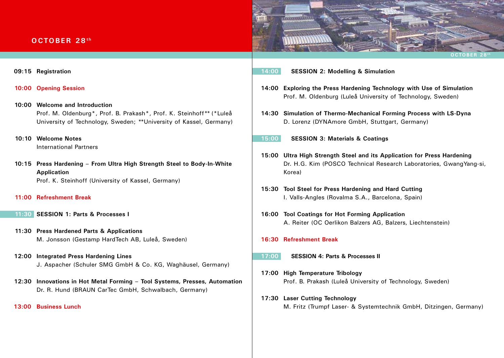# **OCTOBER 28th**



- **09:15 Registration**
- **10:00 Opening Session**
- **10:00 Welcome and Introduction** Prof. M. Oldenburg\*, Prof. B. Prakash\*, Prof. K. Steinhoff\*\* (\*Luleå University of Technology, Sweden; \*\* University of Kassel, Germany)
- **10:10 Welcome Notes** International Partners
- **10:15 Press Hardening From Ultra High Strength Steel to Body-In-White Application** Prof. K. Steinhoff (University of Kassel, Germany)
- **11:00 Refreshment Break**
- **11:30 SESSION 1: Parts & Processes I**
- **11:30 Press Hardened Parts & Applications** M. Jonsson (Gestamp HardTech AB, Luleå, Sweden)
- **12:00 Integrated Press Hardening Lines** J. Aspacher (Schuler SMG GmbH & Co. KG, Waghäusel, Germany)
- **12:30 Innovations in Hot Metal Forming Tool Systems, Presses, Automation** Dr. R. Hund (BRAUN CarTec GmbH, Schwalbach, Germany)

**13:00 Business Lunch**

- **14:00 SESSION 2: Modelling & Simulation**
- **14:00 Exploring the Press Hardening Technology with Use of Simulation** Prof. M. Oldenburg (Luleå University of Technology, Sweden)
- **14:30 Simulation of Thermo-Mechanical Forming Process with LS-Dyna** D. Lorenz (DYNAmore GmbH, Stuttgart, Germany)
- **15:00 SESSION 3: Materials & Coatings**
- **15:00 Ultra High Strength Steel and its Application for Press Hardening**  Dr. H.G. Kim (POSCO Technical Research Laboratories, GwangYang-si, Korea)
- **15:30 Tool Steel for Press Hardening and Hard Cutting** I. Valls-Angles (Rovalma S.A., Barcelona, Spain)
- **16:00 Tool Coatings for Hot Forming Application** A. Reiter (OC Oerlikon Balzers AG, Balzers, Liechtenstein)
- **16:30 Refreshment Break**
- **17:00 SESSION 4: Parts & Processes II**
- **17:00 High Temperature Tribology** Prof. B. Prakash (Luleå University of Technology, Sweden)
- **17:30 Laser Cutting Technology** M. Fritz (Trumpf Laser- & Systemtechnik GmbH, Ditzingen, Germany)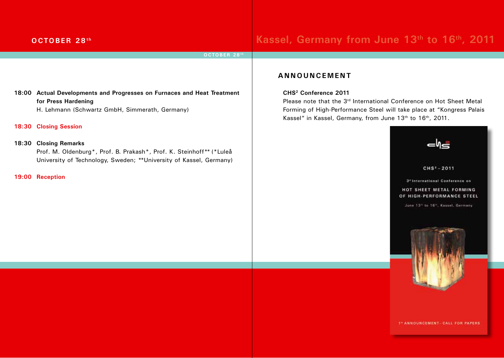# **OCTOBER 28<sup>th</sup> <b>Kassel, Germany from June 13<sup>th</sup> to 16<sup>th</sup>, 2011**

### **OCTOBER 28th**

### **18:00 Actual Developments and Progresses on Furnaces and Heat Treatment for Press Hardening**

H. Lehmann (Schwartz GmbH, Simmerath, Germany)

**18:30 Closing Session**

### **18:30 Closing Remarks**

Prof. M. Oldenburg\*, Prof. B. Prakash\*, Prof. K. Steinhoff\*\* (\*Luleå University of Technology, Sweden; \*\* University of Kassel, Germany)

**19:00 Reception** 

## **ANNOUNCEMENT**

### **CHS2 Conference 2011**

Please note that the 3rd International Conference on Hot Sheet Metal Forming of High-Performance Steel will take place at "Kongress Palais Kassel" in Kassel, Germany, from June 13<sup>th</sup> to 16<sup>th</sup>, 2011.



**1" ANNOUNCEMENT- CALL FOR PAPERS**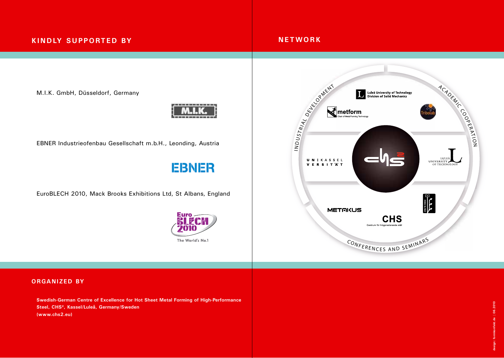# **KINDLY SUPPORTED BY**

# **NETWORK**

M.I.K. GmbH, Düsseldorf, Germany



EBNER Industrieofenbau Gesellschaft m.b.H., Leonding, Austria

# **EBNER**

EuroBLECH 2010, Mack Brooks Exhibitions Ltd, St Albans, England





### **ORGANIZED BY**

**Swedish-German Centre of Excellence for Hot Sheet Metal Forming of High-Performance Steel, CHS², Kassel/Luleå, Germany/Sweden (www.chs2.eu)**